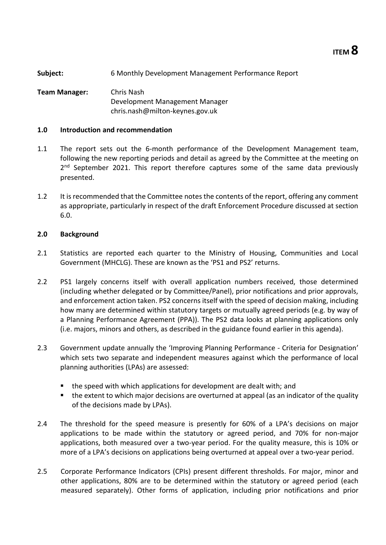**Subject:** 6 Monthly Development Management Performance Report

**Team Manager:** Chris Nash Development Management Manager chris.nash@milton-keynes.gov.uk

### **1.0 Introduction and recommendation**

- 1.1 The report sets out the 6-month performance of the Development Management team, following the new reporting periods and detail as agreed by the Committee at the meeting on 2<sup>nd</sup> September 2021. This report therefore captures some of the same data previously presented.
- 1.2 It is recommended that the Committee notes the contents of the report, offering any comment as appropriate, particularly in respect of the draft Enforcement Procedure discussed at section 6.0.

### **2.0 Background**

- 2.1 Statistics are reported each quarter to the Ministry of Housing, Communities and Local Government (MHCLG). These are known as the 'PS1 and PS2' returns.
- 2.2 PS1 largely concerns itself with overall application numbers received, those determined (including whether delegated or by Committee/Panel), prior notifications and prior approvals, and enforcement action taken. PS2 concerns itself with the speed of decision making, including how many are determined within statutory targets or mutually agreed periods (e.g. by way of a Planning Performance Agreement (PPA)). The PS2 data looks at planning applications only (i.e. majors, minors and others, as described in the guidance found earlier in this agenda).
- 2.3 Government update annually the 'Improving Planning Performance Criteria for Designation' which sets two separate and independent measures against which the performance of local planning authorities (LPAs) are assessed:
	- the speed with which applications for development are dealt with; and
	- the extent to which major decisions are overturned at appeal (as an indicator of the quality of the decisions made by LPAs).
- <span id="page-0-0"></span>2.4 The threshold for the speed measure is presently for 60% of a LPA's decisions on major applications to be made within the statutory or agreed period, and 70% for non-major applications, both measured over a two-year period. For the quality measure, this is 10% or more of a LPA's decisions on applications being overturned at appeal over a two-year period.
- 2.5 Corporate Performance Indicators (CPIs) present different thresholds. For major, minor and other applications, 80% are to be determined within the statutory or agreed period (each measured separately). Other forms of application, including prior notifications and prior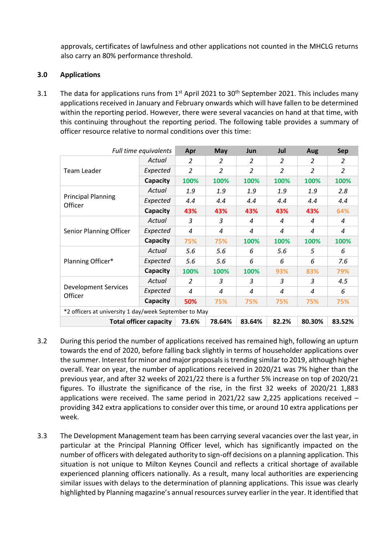approvals, certificates of lawfulness and other applications not counted in the MHCLG returns also carry an 80% performance threshold.

### **3.0 Applications**

3.1 The data for applications runs from  $1^{st}$  April 2021 to 30<sup>th</sup> September 2021. This includes many applications received in January and February onwards which will have fallen to be determined within the reporting period. However, there were several vacancies on hand at that time, with this continuing throughout the reporting period. The following table provides a summary of officer resource relative to normal conditions over this time:

|                                        | Full time equivalents                                                                                                                                                                                                                                                                                                                      | Apr            | May            | <b>Jun</b>     | Jul                                                                             | Aug            | <b>Sep</b>     |
|----------------------------------------|--------------------------------------------------------------------------------------------------------------------------------------------------------------------------------------------------------------------------------------------------------------------------------------------------------------------------------------------|----------------|----------------|----------------|---------------------------------------------------------------------------------|----------------|----------------|
|                                        | Actual                                                                                                                                                                                                                                                                                                                                     | 2              | $\overline{2}$ | $\mathcal{P}$  | $\mathcal{P}$                                                                   | $\overline{2}$ | 2              |
| Team Leader                            | Expected                                                                                                                                                                                                                                                                                                                                   | 2              | $\overline{2}$ | $\overline{2}$ | $\overline{2}$                                                                  | 2              | 2              |
|                                        | Capacity                                                                                                                                                                                                                                                                                                                                   | 100%           | 100%           | 100%           | 100%                                                                            | 100%           | 100%           |
|                                        | Actual                                                                                                                                                                                                                                                                                                                                     | 1.9            | 1.9            | 1.9            | 1.9                                                                             | 1.9            | 2.8            |
| <b>Principal Planning</b><br>Officer   | Expected                                                                                                                                                                                                                                                                                                                                   | 4.4            | 4.4            | 4.4            | 4.4                                                                             | 4.4            | 4.4            |
|                                        | Capacity                                                                                                                                                                                                                                                                                                                                   | 43%            | 43%            | 43%            | 43%<br>4<br>$\overline{a}$<br>100%<br>5.6<br>6<br>93%<br>3<br>4<br>75%<br>82.2% | 43%            | 64%            |
| Senior Planning Officer                | Actual                                                                                                                                                                                                                                                                                                                                     | 3              | 3              | 4              |                                                                                 | 4              | 4              |
|                                        | Expected                                                                                                                                                                                                                                                                                                                                   | $\overline{a}$ | 4              | 4              |                                                                                 | $\overline{a}$ | $\overline{a}$ |
|                                        | Capacity<br>75%<br>75%<br>100%<br>Actual<br>5.6<br>5.6<br>6<br>Expected<br>5.6<br>5.6<br>6<br>Capacity<br>100%<br>100%<br>100%<br>Actual<br>3<br>3<br>2<br>Expected<br>4<br>4<br>4<br>Capacity<br>50%<br>75%<br>75%<br>*2 officers at university 1 day/week September to May<br>78.64%<br>83.64%<br><b>Total officer capacity</b><br>73.6% | 100%           | 100%           |                |                                                                                 |                |                |
|                                        |                                                                                                                                                                                                                                                                                                                                            |                |                |                |                                                                                 | 5              | 6              |
| Planning Officer*                      |                                                                                                                                                                                                                                                                                                                                            |                |                |                |                                                                                 | 6              | 7.6            |
|                                        |                                                                                                                                                                                                                                                                                                                                            |                |                |                |                                                                                 | 83%            | 79%            |
|                                        |                                                                                                                                                                                                                                                                                                                                            |                |                |                |                                                                                 | 3              | 4.5            |
| <b>Development Services</b><br>Officer |                                                                                                                                                                                                                                                                                                                                            |                |                |                |                                                                                 | 4              | 6              |
|                                        |                                                                                                                                                                                                                                                                                                                                            |                |                |                |                                                                                 | 75%            | 75%            |
|                                        |                                                                                                                                                                                                                                                                                                                                            |                |                |                |                                                                                 |                |                |
|                                        |                                                                                                                                                                                                                                                                                                                                            |                |                |                |                                                                                 | 80.30%         | 83.52%         |

- 3.2 During this period the number of applications received has remained high, following an upturn towards the end of 2020, before falling back slightly in terms of householder applications over the summer. Interest for minor and major proposals is trending similar to 2019, although higher overall. Year on year, the number of applications received in 2020/21 was 7% higher than the previous year, and after 32 weeks of 2021/22 there is a further 5% increase on top of 2020/21 figures. To illustrate the significance of the rise, in the first 32 weeks of 2020/21 1,883 applications were received. The same period in  $2021/22$  saw 2,225 applications received – providing 342 extra applications to consider over this time, or around 10 extra applications per week.
- 3.3 The Development Management team has been carrying several vacancies over the last year, in particular at the Principal Planning Officer level, which has significantly impacted on the number of officers with delegated authority to sign-off decisions on a planning application. This situation is not unique to Milton Keynes Council and reflects a critical shortage of available experienced planning officers nationally. As a result, many local authorities are experiencing similar issues with delays to the determination of planning applications. This issue was clearly highlighted by Planning magazine's annual resources survey earlier in the year. It identified that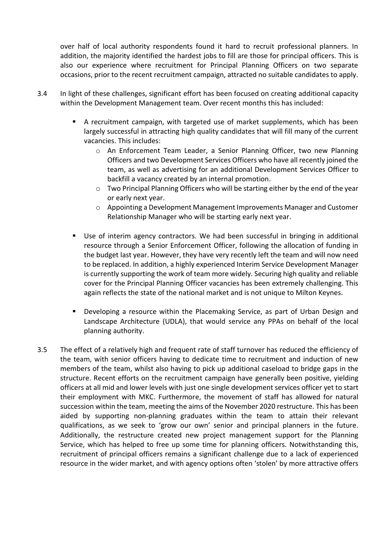over half of local authority respondents found it hard to recruit professional planners. In addition, the majority identified the hardest jobs to fill are those for principal officers. This is also our experience where recruitment for Principal Planning Officers on two separate occasions, prior to the recent recruitment campaign, attracted no suitable candidates to apply.

- 3.4 In light of these challenges, significant effort has been focused on creating additional capacity within the Development Management team. Over recent months this has included:
	- A recruitment campaign, with targeted use of market supplements, which has been largely successful in attracting high quality candidates that will fill many of the current vacancies. This includes:
		- o An Enforcement Team Leader, a Senior Planning Officer, two new Planning Officers and two Development Services Officers who have all recently joined the team, as well as advertising for an additional Development Services Officer to backfill a vacancy created by an internal promotion.
		- $\circ$  Two Principal Planning Officers who will be starting either by the end of the year or early next year.
		- o Appointing a Development Management Improvements Manager and Customer Relationship Manager who will be starting early next year.
	- Use of interim agency contractors. We had been successful in bringing in additional resource through a Senior Enforcement Officer, following the allocation of funding in the budget last year. However, they have very recently left the team and will now need to be replaced. In addition, a highly experienced Interim Service Development Manager is currently supporting the work of team more widely. Securing high quality and reliable cover for the Principal Planning Officer vacancies has been extremely challenging. This again reflects the state of the national market and is not unique to Milton Keynes.
	- Developing a resource within the Placemaking Service, as part of Urban Design and Landscape Architecture (UDLA), that would service any PPAs on behalf of the local planning authority.
- 3.5 The effect of a relatively high and frequent rate of staff turnover has reduced the efficiency of the team, with senior officers having to dedicate time to recruitment and induction of new members of the team, whilst also having to pick up additional caseload to bridge gaps in the structure. Recent efforts on the recruitment campaign have generally been positive, yielding officers at all mid and lower levels with just one single development services officer yet to start their employment with MKC. Furthermore, the movement of staff has allowed for natural succession within the team, meeting the aims of the November 2020 restructure. This has been aided by supporting non-planning graduates within the team to attain their relevant qualifications, as we seek to 'grow our own' senior and principal planners in the future. Additionally, the restructure created new project management support for the Planning Service, which has helped to free up some time for planning officers. Notwithstanding this, recruitment of principal officers remains a significant challenge due to a lack of experienced resource in the wider market, and with agency options often 'stolen' by more attractive offers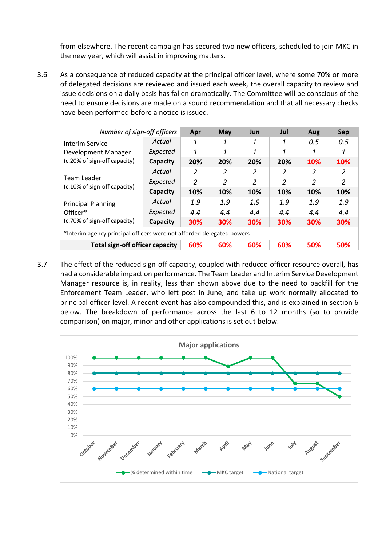from elsewhere. The recent campaign has secured two new officers, scheduled to join MKC in the new year, which will assist in improving matters.

3.6 As a consequence of reduced capacity at the principal officer level, where some 70% or more of delegated decisions are reviewed and issued each week, the overall capacity to review and issue decisions on a daily basis has fallen dramatically. The Committee will be conscious of the need to ensure decisions are made on a sound recommendation and that all necessary checks have been performed before a notice is issued.

| Number of sign-off officers                                           |          | Apr | <b>May</b>     | Jun            | Jul        | Aug | Sep |
|-----------------------------------------------------------------------|----------|-----|----------------|----------------|------------|-----|-----|
| Interim Service                                                       | Actual   | 1   |                | 1              | 1          | 0.5 | 0.5 |
| Development Manager                                                   | Expected | 1   | 1              | 1              | 1          | 1   | 1   |
| (c.20% of sign-off capacity)                                          | Capacity | 20% | 20%            | 20%            | 20%        | 10% | 10% |
|                                                                       | Actual   | 2   | 2              | 2              | 2          | 2   | 2   |
| Team Leader<br>$(c.10\%$ of sign-off capacity)                        | Expected | 2   | $\overline{2}$ | $\overline{2}$ | 2          | 2   | 2   |
|                                                                       | Capacity | 10% | 10%            | 10%            | 10%<br>1.9 | 10% | 10% |
| <b>Principal Planning</b>                                             | Actual   | 1.9 | 1.9            | 1.9            |            | 1.9 | 1.9 |
| Officer*                                                              | Expected | 4.4 | 4.4            | 4.4            | 4.4        | 4.4 | 4.4 |
| (c.70% of sign-off capacity)                                          | Capacity | 30% | 30%            | 30%            | 30%        | 30% | 30% |
| *Interim agency principal officers were not afforded delegated powers |          |     |                |                |            |     |     |
| <b>Total sign-off officer capacity</b>                                | 60%      | 60% | 60%            | 60%            | 50%        | 50% |     |

3.7 The effect of the reduced sign-off capacity, coupled with reduced officer resource overall, has had a considerable impact on performance. The Team Leader and Interim Service Development Manager resource is, in reality, less than shown above due to the need to backfill for the Enforcement Team Leader, who left post in June, and take up work normally allocated to principal officer level. A recent event has also compounded this, and is explained in section 6 below. The breakdown of performance across the last 6 to 12 months (so to provide comparison) on major, minor and other applications is set out below.

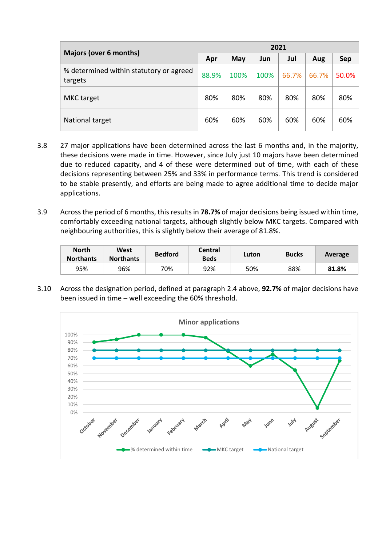|                                                    | 2021  |      |      |       |       |       |  |  |  |
|----------------------------------------------------|-------|------|------|-------|-------|-------|--|--|--|
| <b>Majors (over 6 months)</b>                      | Apr   | May  | Jun  | Jul   | Aug   | Sep   |  |  |  |
| % determined within statutory or agreed<br>targets | 88.9% | 100% | 100% | 66.7% | 66.7% | 50.0% |  |  |  |
| <b>MKC</b> target                                  | 80%   | 80%  | 80%  | 80%   | 80%   | 80%   |  |  |  |
| National target                                    | 60%   | 60%  | 60%  | 60%   | 60%   | 60%   |  |  |  |

- 3.8 27 major applications have been determined across the last 6 months and, in the majority, these decisions were made in time. However, since July just 10 majors have been determined due to reduced capacity, and 4 of these were determined out of time, with each of these decisions representing between 25% and 33% in performance terms. This trend is considered to be stable presently, and efforts are being made to agree additional time to decide major applications.
- 3.9 Across the period of 6 months, this results in **78.7%** of major decisions being issued within time, comfortably exceeding national targets, although slightly below MKC targets. Compared with neighbouring authorities, this is slightly below their average of 81.8%.

| <b>North</b><br><b>Northants</b> | West<br><b>Northants</b> | <b>Bedford</b> | Central<br><b>Beds</b> | Luton | <b>Bucks</b> | Average |
|----------------------------------|--------------------------|----------------|------------------------|-------|--------------|---------|
| 95%                              | 96%                      | 70%            | 92%                    | 50%   | 88%          | 81.8%   |

3.10 Across the designation period, defined at paragraph [2.4](#page-0-0) above, **92.7%** of major decisions have been issued in time – well exceeding the 60% threshold.

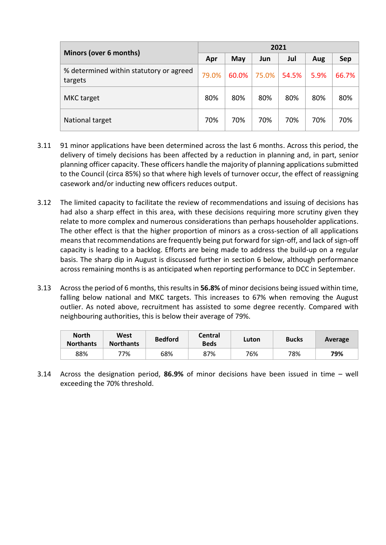|                                                    | 2021  |       |       |       |      |       |  |  |
|----------------------------------------------------|-------|-------|-------|-------|------|-------|--|--|
| Minors (over 6 months)                             | Apr   | May   | Jun   | Jul   | Aug  | Sep   |  |  |
| % determined within statutory or agreed<br>targets | 79.0% | 60.0% | 75.0% | 54.5% | 5.9% | 66.7% |  |  |
| <b>MKC</b> target                                  | 80%   | 80%   | 80%   | 80%   | 80%  | 80%   |  |  |
| National target                                    | 70%   | 70%   | 70%   | 70%   | 70%  | 70%   |  |  |

- <span id="page-5-0"></span>3.11 91 minor applications have been determined across the last 6 months. Across this period, the delivery of timely decisions has been affected by a reduction in planning and, in part, senior planning officer capacity. These officers handle the majority of planning applications submitted to the Council (circa 85%) so that where high levels of turnover occur, the effect of reassigning casework and/or inducting new officers reduces output.
- <span id="page-5-1"></span>3.12 The limited capacity to facilitate the review of recommendations and issuing of decisions has had also a sharp effect in this area, with these decisions requiring more scrutiny given they relate to more complex and numerous considerations than perhaps householder applications. The other effect is that the higher proportion of minors as a cross-section of all applications means that recommendations are frequently being put forward for sign-off, and lack of sign-off capacity is leading to a backlog. Efforts are being made to address the build-up on a regular basis. The sharp dip in August is discussed further in section 6 below, although performance across remaining months is as anticipated when reporting performance to DCC in September.
- 3.13 Across the period of 6 months, this results in **56.8%** of minor decisions being issued within time, falling below national and MKC targets. This increases to 67% when removing the August outlier. As noted above, recruitment has assisted to some degree recently. Compared with neighbouring authorities, this is below their average of 79%.

| <b>North</b><br><b>Northants</b> | West<br><b>Northants</b> | <b>Bedford</b> | <b>Central</b><br><b>Beds</b> | Luton | <b>Bucks</b> | Average |
|----------------------------------|--------------------------|----------------|-------------------------------|-------|--------------|---------|
| 88%                              | 77%                      | 68%            | 87%                           | 76%   | 78%          | 79%     |

3.14 Across the designation period, **86.9%** of minor decisions have been issued in time – well exceeding the 70% threshold.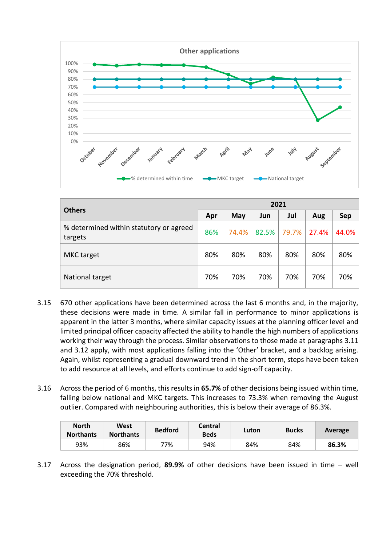

| <b>Others</b>                                      | 2021 |       |       |       |       |       |  |  |  |
|----------------------------------------------------|------|-------|-------|-------|-------|-------|--|--|--|
|                                                    | Apr  | May   | Jun   | Jul   | Aug   | Sep   |  |  |  |
| % determined within statutory or agreed<br>targets | 86%  | 74.4% | 82.5% | 79.7% | 27.4% | 44.0% |  |  |  |
| MKC target                                         | 80%  | 80%   | 80%   | 80%   | 80%   | 80%   |  |  |  |
| National target                                    | 70%  | 70%   | 70%   | 70%   | 70%   | 70%   |  |  |  |

- 3.15 670 other applications have been determined across the last 6 months and, in the majority, these decisions were made in time. A similar fall in performance to minor applications is apparent in the latter 3 months, where similar capacity issues at the planning officer level and limited principal officer capacity affected the ability to handle the high numbers of applications working their way through the process. Similar observations to those made at paragraphs [3.11](#page-5-0) and [3.12](#page-5-1) apply, with most applications falling into the 'Other' bracket, and a backlog arising. Again, whilst representing a gradual downward trend in the short term, steps have been taken to add resource at all levels, and efforts continue to add sign-off capacity.
- 3.16 Across the period of 6 months, this results in **65.7%** of other decisions being issued within time, falling below national and MKC targets. This increases to 73.3% when removing the August outlier. Compared with neighbouring authorities, this is below their average of 86.3%.

| <b>North</b><br><b>Northants</b> | West<br><b>Northants</b> | <b>Bedford</b> | Central<br><b>Beds</b> | Luton | <b>Bucks</b> | Average |
|----------------------------------|--------------------------|----------------|------------------------|-------|--------------|---------|
| 93%                              | 86%                      | 77%            | 94%                    | 84%   | 84%          | 86.3%   |

3.17 Across the designation period, **89.9%** of other decisions have been issued in time – well exceeding the 70% threshold.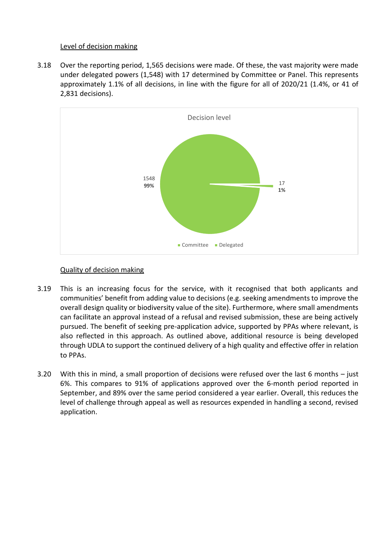### Level of decision making

3.18 Over the reporting period, 1,565 decisions were made. Of these, the vast majority were made under delegated powers (1,548) with 17 determined by Committee or Panel. This represents approximately 1.1% of all decisions, in line with the figure for all of 2020/21 (1.4%, or 41 of 2,831 decisions).



## Quality of decision making

- 3.19 This is an increasing focus for the service, with it recognised that both applicants and communities' benefit from adding value to decisions (e.g. seeking amendments to improve the overall design quality or biodiversity value of the site). Furthermore, where small amendments can facilitate an approval instead of a refusal and revised submission, these are being actively pursued. The benefit of seeking pre-application advice, supported by PPAs where relevant, is also reflected in this approach. As outlined above, additional resource is being developed through UDLA to support the continued delivery of a high quality and effective offer in relation to PPAs.
- 3.20 With this in mind, a small proportion of decisions were refused over the last 6 months just 6%. This compares to 91% of applications approved over the 6-month period reported in September, and 89% over the same period considered a year earlier. Overall, this reduces the level of challenge through appeal as well as resources expended in handling a second, revised application.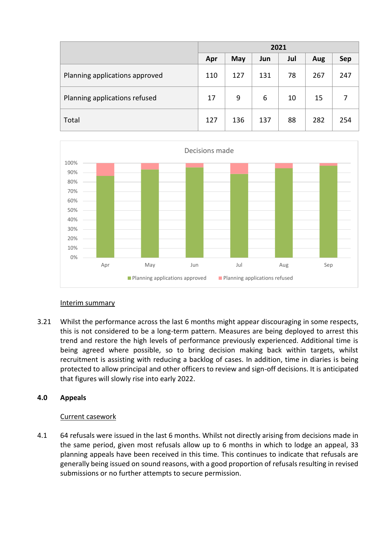|                                | 2021 |     |     |     |     |            |
|--------------------------------|------|-----|-----|-----|-----|------------|
|                                | Apr  | May | Jun | Jul | Aug | <b>Sep</b> |
| Planning applications approved | 110  | 127 | 131 | 78  | 267 | 247        |
| Planning applications refused  | 17   | 9   | 6   | 10  | 15  |            |
| Total                          | 127  | 136 | 137 | 88  | 282 | 254        |



### Interim summary

3.21 Whilst the performance across the last 6 months might appear discouraging in some respects, this is not considered to be a long-term pattern. Measures are being deployed to arrest this trend and restore the high levels of performance previously experienced. Additional time is being agreed where possible, so to bring decision making back within targets, whilst recruitment is assisting with reducing a backlog of cases. In addition, time in diaries is being protected to allow principal and other officers to review and sign-off decisions. It is anticipated that figures will slowly rise into early 2022.

# **4.0 Appeals**

# Current casework

4.1 64 refusals were issued in the last 6 months. Whilst not directly arising from decisions made in the same period, given most refusals allow up to 6 months in which to lodge an appeal, 33 planning appeals have been received in this time. This continues to indicate that refusals are generally being issued on sound reasons, with a good proportion of refusals resulting in revised submissions or no further attempts to secure permission.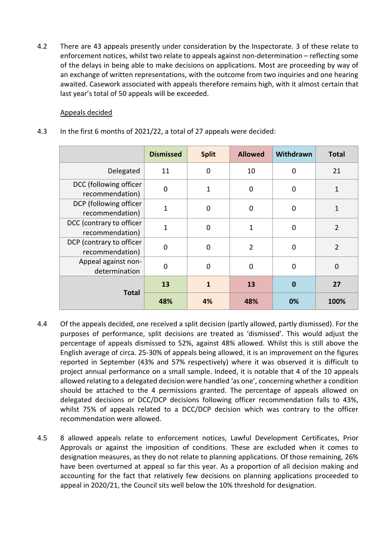4.2 There are 43 appeals presently under consideration by the Inspectorate. 3 of these relate to enforcement notices, whilst two relate to appeals against non-determination – reflecting some of the delays in being able to make decisions on applications. Most are proceeding by way of an exchange of written representations, with the outcome from two inquiries and one hearing awaited. Casework associated with appeals therefore remains high, with it almost certain that last year's total of 50 appeals will be exceeded.

# Appeals decided

4.3 In the first 6 months of 2021/22, a total of 27 appeals were decided:

|                                             | <b>Dismissed</b> | <b>Split</b> | <b>Allowed</b> | Withdrawn   | <b>Total</b>   |
|---------------------------------------------|------------------|--------------|----------------|-------------|----------------|
| Delegated                                   | 11               | 0            | 10             | $\mathbf 0$ | 21             |
| DCC (following officer<br>recommendation)   | $\mathbf 0$      | 1            | $\mathbf 0$    | $\mathbf 0$ | 1              |
| DCP (following officer<br>recommendation)   | $\overline{1}$   | $\mathbf 0$  | $\mathbf 0$    | $\mathbf 0$ | 1              |
| DCC (contrary to officer<br>recommendation) | $\overline{1}$   | $\mathbf 0$  | 1              | $\mathbf 0$ | $\overline{2}$ |
| DCP (contrary to officer<br>recommendation) | $\mathbf 0$      | $\Omega$     | $\overline{2}$ | $\mathbf 0$ | 2              |
| Appeal against non-<br>determination        | $\mathbf 0$      | $\mathbf 0$  | $\mathbf 0$    | $\mathbf 0$ | $\mathbf 0$    |
|                                             | 13               | 1            | 13             | $\bf{0}$    | 27             |
| <b>Total</b>                                | 48%              | 4%           | 48%            | 0%          | 100%           |

- 4.4 Of the appeals decided, one received a split decision (partly allowed, partly dismissed). For the purposes of performance, split decisions are treated as 'dismissed'. This would adjust the percentage of appeals dismissed to 52%, against 48% allowed. Whilst this is still above the English average of circa. 25-30% of appeals being allowed, it is an improvement on the figures reported in September (43% and 57% respectively) where it was observed it is difficult to project annual performance on a small sample. Indeed, it is notable that 4 of the 10 appeals allowed relating to a delegated decision were handled 'as one', concerning whether a condition should be attached to the 4 permissions granted. The percentage of appeals allowed on delegated decisions or DCC/DCP decisions following officer recommendation falls to 43%, whilst 75% of appeals related to a DCC/DCP decision which was contrary to the officer recommendation were allowed.
- 4.5 8 allowed appeals relate to enforcement notices, Lawful Development Certificates, Prior Approvals or against the imposition of conditions. These are excluded when it comes to designation measures, as they do not relate to planning applications. Of those remaining, 26% have been overturned at appeal so far this year. As a proportion of all decision making and accounting for the fact that relatively few decisions on planning applications proceeded to appeal in 2020/21, the Council sits well below the 10% threshold for designation.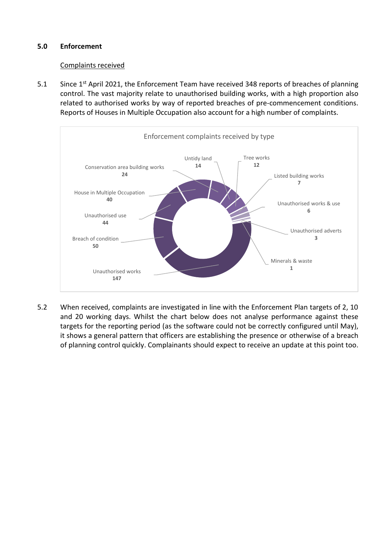## **5.0 Enforcement**

### Complaints received

5.1 Since 1<sup>st</sup> April 2021, the Enforcement Team have received 348 reports of breaches of planning control. The vast majority relate to unauthorised building works, with a high proportion also related to authorised works by way of reported breaches of pre-commencement conditions. Reports of Houses in Multiple Occupation also account for a high number of complaints.



5.2 When received, complaints are investigated in line with the Enforcement Plan targets of 2, 10 and 20 working days. Whilst the chart below does not analyse performance against these targets for the reporting period (as the software could not be correctly configured until May), it shows a general pattern that officers are establishing the presence or otherwise of a breach of planning control quickly. Complainants should expect to receive an update at this point too.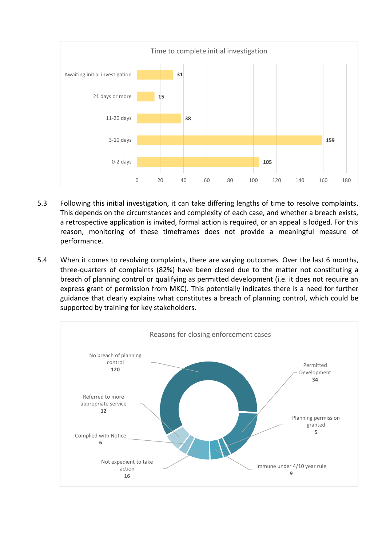

- 5.3 Following this initial investigation, it can take differing lengths of time to resolve complaints. This depends on the circumstances and complexity of each case, and whether a breach exists, a retrospective application is invited, formal action is required, or an appeal is lodged. For this reason, monitoring of these timeframes does not provide a meaningful measure of performance.
- 5.4 When it comes to resolving complaints, there are varying outcomes. Over the last 6 months, three-quarters of complaints (82%) have been closed due to the matter not constituting a breach of planning control or qualifying as permitted development (i.e. it does not require an express grant of permission from MKC). This potentially indicates there is a need for further guidance that clearly explains what constitutes a breach of planning control, which could be supported by training for key stakeholders.

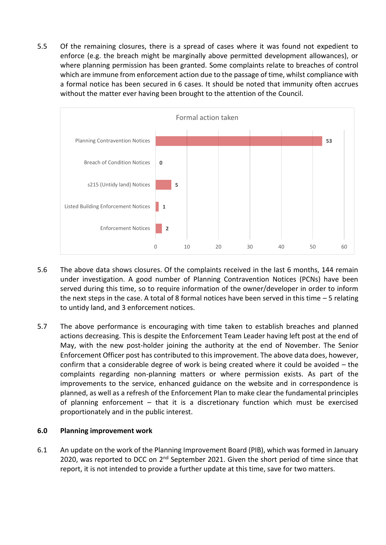5.5 Of the remaining closures, there is a spread of cases where it was found not expedient to enforce (e.g. the breach might be marginally above permitted development allowances), or where planning permission has been granted. Some complaints relate to breaches of control which are immune from enforcement action due to the passage of time, whilst compliance with a formal notice has been secured in 6 cases. It should be noted that immunity often accrues without the matter ever having been brought to the attention of the Council.



- 5.6 The above data shows closures. Of the complaints received in the last 6 months, 144 remain under investigation. A good number of Planning Contravention Notices (PCNs) have been served during this time, so to require information of the owner/developer in order to inform the next steps in the case. A total of 8 formal notices have been served in this time  $-5$  relating to untidy land, and 3 enforcement notices.
- 5.7 The above performance is encouraging with time taken to establish breaches and planned actions decreasing. This is despite the Enforcement Team Leader having left post at the end of May, with the new post-holder joining the authority at the end of November. The Senior Enforcement Officer post has contributed to this improvement. The above data does, however, confirm that a considerable degree of work is being created where it could be avoided – the complaints regarding non-planning matters or where permission exists. As part of the improvements to the service, enhanced guidance on the website and in correspondence is planned, as well as a refresh of the Enforcement Plan to make clear the fundamental principles of planning enforcement – that it is a discretionary function which must be exercised proportionately and in the public interest.

### **6.0 Planning improvement work**

6.1 An update on the work of the Planning Improvement Board (PIB), which was formed in January 2020, was reported to DCC on 2<sup>nd</sup> September 2021. Given the short period of time since that report, it is not intended to provide a further update at this time, save for two matters.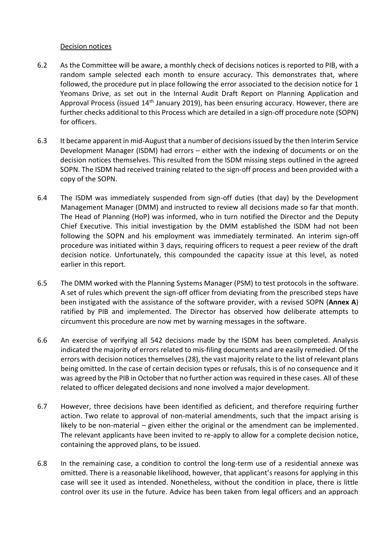### Decision notices

- 6.2 As the Committee will be aware, a monthly check of decisions notices is reported to PIB, with a random sample selected each month to ensure accuracy. This demonstrates that, where followed, the procedure put in place following the error associated to the decision notice for 1 Yeomans Drive, as set out in the Internal Audit Draft Report on Planning Application and Approval Process (issued 14<sup>th</sup> January 2019), has been ensuring accuracy. However, there are further checks additional to this Process which are detailed in a sign-off procedure note (SOPN) for officers.
- 6.3 It became apparent in mid-August that a number of decisions issued by the then Interim Service Development Manager (ISDM) had errors – either with the indexing of documents or on the decision notices themselves. This resulted from the ISDM missing steps outlined in the agreed SOPN. The ISDM had received training related to the sign-off process and been provided with a copy of the SOPN.
- 6.4 The ISDM was immediately suspended from sign-off duties (that day) by the Development Management Manager (DMM) and instructed to review all decisions made so far that month. The Head of Planning (HoP) was informed, who in turn notified the Director and the Deputy Chief Executive. This initial investigation by the DMM established the ISDM had not been following the SOPN and his employment was immediately terminated. An interim sign-off procedure was initiated within 3 days, requiring officers to request a peer review of the draft decision notice. Unfortunately, this compounded the capacity issue at this level, as noted earlier in this report.
- 6.5 The DMM worked with the Planning Systems Manager (PSM) to test protocols in the software. A set of rules which prevent the sign-off officer from deviating from the prescribed steps have been instigated with the assistance of the software provider, with a revised SOPN (**Annex A**) ratified by PIB and implemented. The Director has observed how deliberate attempts to circumvent this procedure are now met by warning messages in the software.
- 6.6 An exercise of verifying all 542 decisions made by the ISDM has been completed. Analysis indicated the majority of errors related to mis-filing documents and are easily remedied. Of the errors with decision notices themselves(28), the vast majority relate to the list of relevant plans being omitted. In the case of certain decision types or refusals, this is of no consequence and it was agreed by the PIB in October that no further action was required in these cases. All of these related to officer delegated decisions and none involved a major development.
- 6.7 However, three decisions have been identified as deficient, and therefore requiring further action. Two relate to approval of non-material amendments, such that the impact arising is likely to be non-material – given either the original or the amendment can be implemented. The relevant applicants have been invited to re-apply to allow for a complete decision notice, containing the approved plans, to be issued.
- 6.8 In the remaining case, a condition to control the long-term use of a residential annexe was omitted. There is a reasonable likelihood, however, that applicant's reasons for applying in this case will see it used as intended. Nonetheless, without the condition in place, there is little control over its use in the future. Advice has been taken from legal officers and an approach